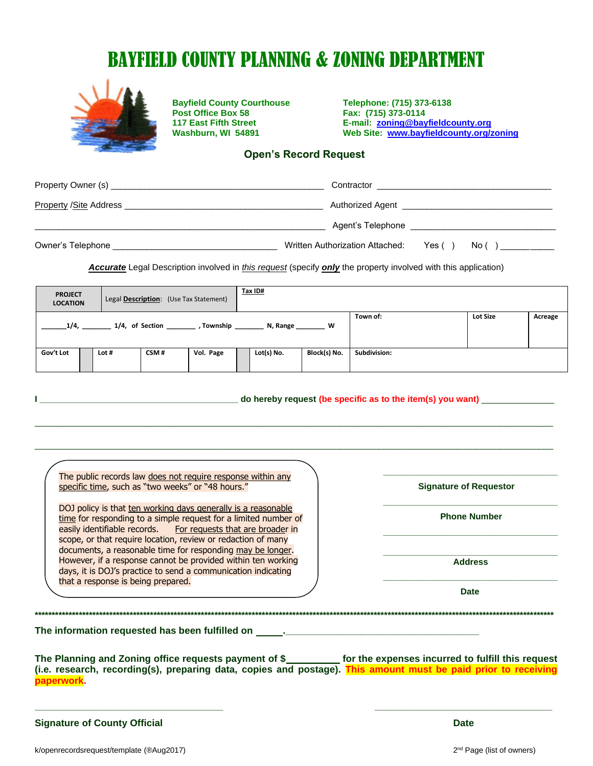# BAYFIELD COUNTY PLANNING & ZONING DEPARTMENT



**Bayfield County Courthouse** Telephone: (715) 373-6138<br> **Post Office Box 58** Fax: (715) 373-0114 **Post Office Box 58<br>117 East Fifth Street** 

 **117 East Fifth Street E-mail: [zoning@bayfieldcounty.org](mailto:zoning@bayfieldcounty.org) Washburn, WI 54891 Web Site: [www.bayfieldcounty.org/zoning](http://www.bayfieldcounty.org/zoning)**

#### **Open's Record Request**

|                   | Contractor                                  |                                          | <u> 2000 - 2000 - 2000 - 2000 - 2000 - 2000 - 2000 - 2000 - 2000 - 2000 - 2000 - 2000 - 2000 - 2000 - 2000 - 200</u> |  |
|-------------------|---------------------------------------------|------------------------------------------|----------------------------------------------------------------------------------------------------------------------|--|
|                   |                                             | Authorized Agent <b>Authorized</b> Agent |                                                                                                                      |  |
|                   | Agent's Telephone <b>Agent</b> 's Telephone |                                          |                                                                                                                      |  |
| Owner's Telephone | Written Authorization Attached:             | Yes $( )$                                | $N_o( )$                                                                                                             |  |

*Accurate* Legal Description involved in *this request* (specify *only* the property involved with this application)

| <b>PROJECT</b><br><b>LOCATION</b>                    |  |       | Legal Description: (Use Tax Statement) |           | Tax ID#    |                 |              |  |  |
|------------------------------------------------------|--|-------|----------------------------------------|-----------|------------|-----------------|--------------|--|--|
| 1/4,<br>1/4, of Section<br>Township<br>W<br>N, Range |  |       |                                        |           | Town of:   | <b>Lot Size</b> | Acreage      |  |  |
| Gov't Lot                                            |  | Lot # | CSM#                                   | Vol. Page | Lot(s) No. | Block(s) No.    | Subdivision: |  |  |

| do hereby request (be specific as to the item(s) you want) |  |
|------------------------------------------------------------|--|
|------------------------------------------------------------|--|

\_\_\_\_\_\_\_\_\_\_\_\_\_\_\_\_\_\_\_\_\_\_\_\_\_\_\_\_\_\_\_\_\_\_\_\_\_\_\_\_\_\_\_\_\_\_\_\_\_\_\_\_\_\_\_\_\_\_\_\_\_\_\_\_\_\_\_\_\_\_\_\_\_\_\_\_\_\_\_\_\_\_\_\_\_\_\_\_\_\_\_\_\_\_\_\_\_\_\_\_\_\_\_\_\_\_\_

\_\_\_\_\_\_\_\_\_\_\_\_\_\_\_\_\_\_\_\_\_\_\_\_\_\_\_\_\_\_\_\_\_\_\_\_\_\_\_\_\_\_\_\_\_\_\_\_\_\_\_\_\_\_\_\_\_\_\_\_\_\_\_\_\_\_\_\_\_\_\_\_\_\_\_\_\_\_\_\_\_\_\_\_\_\_\_\_\_\_\_\_\_\_\_\_\_\_\_\_\_\_\_\_\_\_\_

The public records law does not require response within any specific time, such as "two weeks" or "48 hours."

DOJ policy is that ten working days generally is a reasonable time for responding to a simple request for a limited number of easily identifiable records. For requests that are broader in scope, or that require location, review or redaction of many documents, a reasonable time for responding may be longer. However, if a response cannot be provided within ten working days, it is DOJ's practice to send a communication indicating that a response is being prepared.

**\_\_\_\_\_\_\_\_\_\_\_\_\_\_\_\_\_\_\_\_\_\_\_\_\_\_\_\_\_\_\_\_\_\_\_\_ Signature of Requestor**

**\_\_\_\_\_\_\_\_\_\_\_\_\_\_\_\_\_\_\_\_\_\_\_\_\_\_\_\_\_\_\_\_\_\_\_\_ Phone Number \_\_\_\_\_\_\_\_\_\_\_\_\_\_\_\_\_\_\_\_\_\_\_\_\_\_\_\_\_\_\_\_\_\_\_\_**

**\_\_\_\_\_\_\_\_\_\_\_\_\_\_\_\_\_\_\_\_\_\_\_\_\_\_\_\_\_\_\_\_\_\_\_\_ Address**

**\_\_\_\_\_\_\_\_\_\_\_\_\_\_\_\_\_\_\_\_\_\_\_\_\_\_\_\_\_\_\_\_\_\_\_\_ Date**

**\*\*\*\*\*\*\*\*\*\*\*\*\*\*\*\*\*\*\*\*\*\*\*\*\*\*\*\*\*\*\*\*\*\*\*\*\*\*\*\*\*\*\*\*\*\*\*\*\*\*\*\*\*\*\*\*\*\*\*\*\*\*\*\*\*\*\*\*\*\*\*\*\*\*\*\*\*\*\*\*\*\*\*\*\*\*\*\*\*\*\*\*\*\*\*\*\*\*\*\*\*\*\*\*\*\*\*\*\*\*\*\*\*\*\*\*\*\*\*\*\*\*\*\*\*\*\*\*\*\*\*\*\*\*\*\*\*\*\*\*\*\*\*\*\*\*\*\*\*\*\*\*\*** The information requested has been fulfilled on \_

**The Planning and Zoning office requests payment of \$\_\_\_\_\_\_\_\_\_\_ for the expenses incurred to fulfill this request (i.e. research, recording(s), preparing data, copies and postage). This amount must be paid prior to receiving paperwork.**

**\_\_\_\_\_\_\_\_\_\_\_\_\_\_\_\_\_\_\_\_\_\_\_\_\_\_\_\_\_\_\_\_\_\_\_ \_\_\_\_\_\_\_\_\_\_\_\_\_\_\_\_\_\_\_\_\_\_\_\_\_\_\_\_\_\_\_\_\_**

**Signature of County Official Date**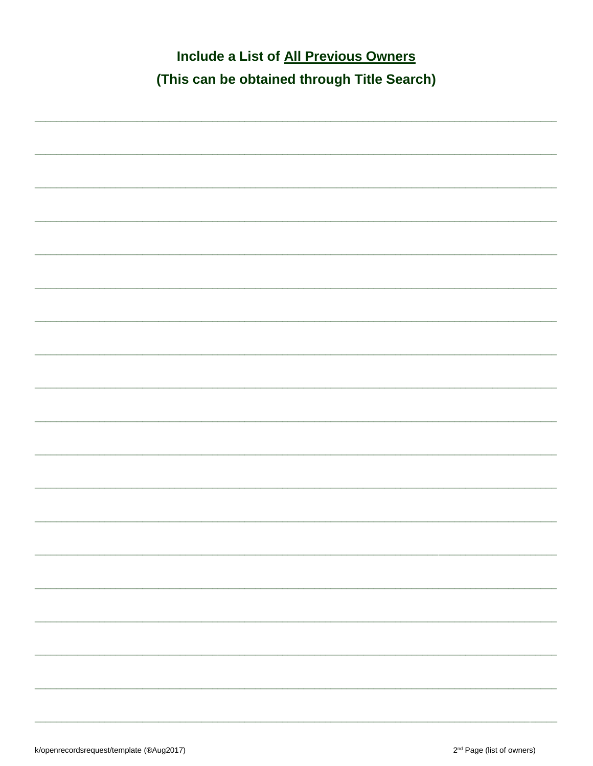| Include a List of All Previous Owners       |
|---------------------------------------------|
| (This can be obtained through Title Search) |